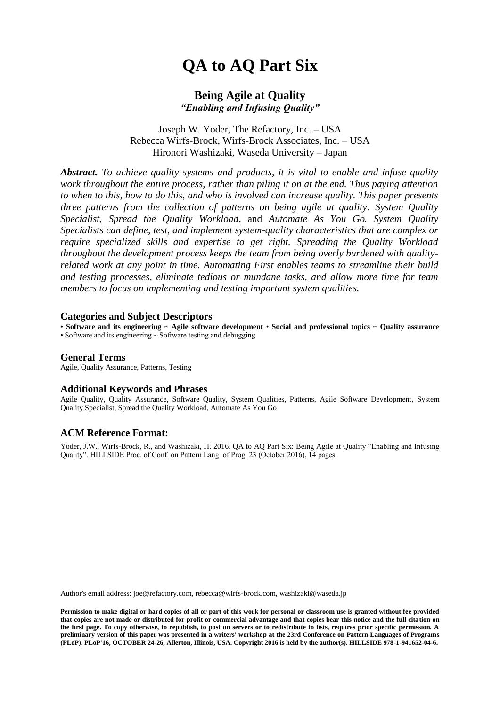# **QA to AQ Part Six**

#### **Being Agile at Quality** *"Enabling and Infusing Quality"*

Joseph W. Yoder, The Refactory, Inc. – USA Rebecca Wirfs-Brock, Wirfs-Brock Associates, Inc. – USA Hironori Washizaki, Waseda University – Japan

*Abstract. To achieve quality systems and products, it is vital to enable and infuse quality work throughout the entire process, rather than piling it on at the end. Thus paying attention to when to this, how to do this, and who is involved can increase quality. This paper presents three patterns from the collection of patterns on being agile at quality: System Quality Specialist*, *Spread the Quality Workload*, and *Automate As You Go. System Quality Specialists can define, test, and implement system-quality characteristics that are complex or require specialized skills and expertise to get right. Spreading the Quality Workload throughout the development process keeps the team from being overly burdened with qualityrelated work at any point in time. Automating First enables teams to streamline their build and testing processes, eliminate tedious or mundane tasks, and allow more time for team members to focus on implementing and testing important system qualities.*

#### **Categories and Subject Descriptors**

• **Software and its engineering ~ Agile software development** • **Social and professional topics ~ Quality assurance** • Software and its engineering ~ Software testing and debugging

#### **General Terms**

Agile, Quality Assurance, Patterns, Testing

#### **Additional Keywords and Phrases**

Agile Quality, Quality Assurance, Software Quality, System Qualities, Patterns, Agile Software Development, System Quality Specialist, Spread the Quality Workload, Automate As You Go

#### **ACM Reference Format:**

Yoder, J.W., Wirfs-Brock, R., and Washizaki, H. 2016. QA to AQ Part Six: Being Agile at Quality "Enabling and Infusing Quality". HILLSIDE Proc. of Conf. on Pattern Lang. of Prog. 23 (October 2016), 14 pages.

Author's email address: joe@refactory.com, rebecca@wirfs-brock.com, washizaki@waseda.jp

**Permission to make digital or hard copies of all or part of this work for personal or classroom use is granted without fee provided that copies are not made or distributed for profit or commercial advantage and that copies bear this notice and the full citation on the first page. To copy otherwise, to republish, to post on servers or to redistribute to lists, requires prior specific permission. A preliminary version of this paper was presented in a writers' workshop at the 23rd Conference on Pattern Languages of Programs (PLoP). PLoP'16, OCTOBER 24-26, Allerton, Illinois, USA. Copyright 2016 is held by the author(s). HILLSIDE 978-1-941652-04-6.**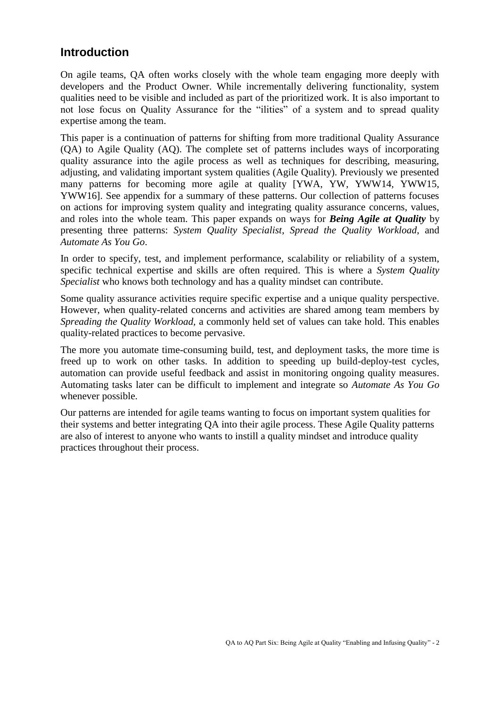## **Introduction**

On agile teams, QA often works closely with the whole team engaging more deeply with developers and the Product Owner. While incrementally delivering functionality, system qualities need to be visible and included as part of the prioritized work. It is also important to not lose focus on Quality Assurance for the "ilities" of a system and to spread quality expertise among the team.

This paper is a continuation of patterns for shifting from more traditional Quality Assurance (QA) to Agile Quality (AQ). The complete set of patterns includes ways of incorporating quality assurance into the agile process as well as techniques for describing, measuring, adjusting, and validating important system qualities (Agile Quality). Previously we presented many patterns for becoming more agile at quality [YWA, YW, YWW14, YWW15, YWW16]. See appendix for a summary of these patterns. Our collection of patterns focuses on actions for improving system quality and integrating quality assurance concerns, values, and roles into the whole team. This paper expands on ways for *Being Agile at Quality* by presenting three patterns: *System Quality Specialist*, *Spread the Quality Workload*, and *Automate As You Go*.

In order to specify, test, and implement performance, scalability or reliability of a system, specific technical expertise and skills are often required. This is where a *System Quality Specialist* who knows both technology and has a quality mindset can contribute.

Some quality assurance activities require specific expertise and a unique quality perspective. However, when quality-related concerns and activities are shared among team members by *Spreading the Quality Workload,* a commonly held set of values can take hold. This enables quality-related practices to become pervasive.

The more you automate time-consuming build, test, and deployment tasks, the more time is freed up to work on other tasks. In addition to speeding up build-deploy-test cycles, automation can provide useful feedback and assist in monitoring ongoing quality measures. Automating tasks later can be difficult to implement and integrate so *Automate As You Go* whenever possible.

Our patterns are intended for agile teams wanting to focus on important system qualities for their systems and better integrating QA into their agile process. These Agile Quality patterns are also of interest to anyone who wants to instill a quality mindset and introduce quality practices throughout their process.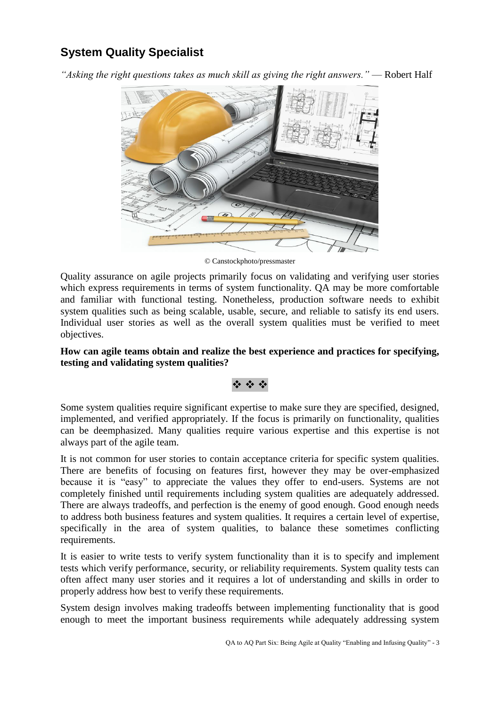# **System Quality Specialist**

*"Asking the right questions takes as much skill as giving the right answers."* — Robert Half



© Canstockphoto/pressmaster

Quality assurance on agile projects primarily focus on validating and verifying user stories which express requirements in terms of system functionality. QA may be more comfortable and familiar with functional testing. Nonetheless, production software needs to exhibit system qualities such as being scalable, usable, secure, and reliable to satisfy its end users. Individual user stories as well as the overall system qualities must be verified to meet objectives.

#### **How can agile teams obtain and realize the best experience and practices for specifying, testing and validating system qualities?**

## **经资金**

Some system qualities require significant expertise to make sure they are specified, designed, implemented, and verified appropriately. If the focus is primarily on functionality, qualities can be deemphasized. Many qualities require various expertise and this expertise is not always part of the agile team.

It is not common for user stories to contain acceptance criteria for specific system qualities. There are benefits of focusing on features first, however they may be over-emphasized because it is "easy" to appreciate the values they offer to end-users. Systems are not completely finished until requirements including system qualities are adequately addressed. There are always tradeoffs, and perfection is the enemy of good enough. Good enough needs to address both business features and system qualities. It requires a certain level of expertise, specifically in the area of system qualities, to balance these sometimes conflicting requirements.

It is easier to write tests to verify system functionality than it is to specify and implement tests which verify performance, security, or reliability requirements. System quality tests can often affect many user stories and it requires a lot of understanding and skills in order to properly address how best to verify these requirements.

System design involves making tradeoffs between implementing functionality that is good enough to meet the important business requirements while adequately addressing system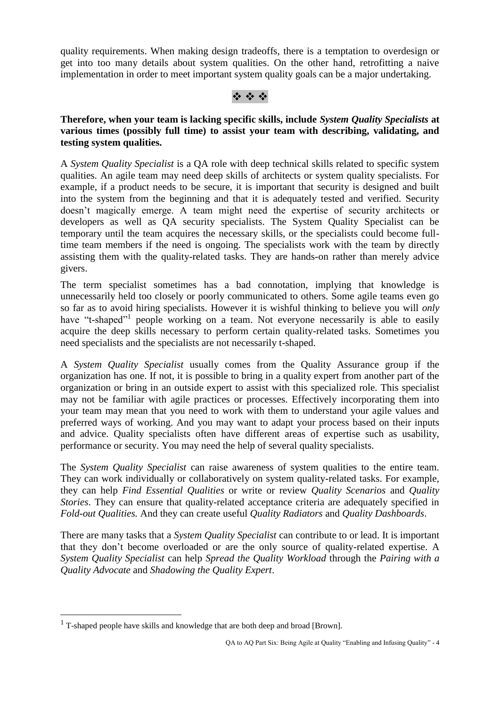quality requirements. When making design tradeoffs, there is a temptation to overdesign or get into too many details about system qualities. On the other hand, retrofitting a naive implementation in order to meet important system quality goals can be a major undertaking.

#### ※ ※ ※

**Therefore, when your team is lacking specific skills, include** *System Quality Specialists* **at various times (possibly full time) to assist your team with describing, validating, and testing system qualities.**

A *System Quality Specialist* is a QA role with deep technical skills related to specific system qualities. An agile team may need deep skills of architects or system quality specialists. For example, if a product needs to be secure, it is important that security is designed and built into the system from the beginning and that it is adequately tested and verified. Security doesn't magically emerge. A team might need the expertise of security architects or developers as well as QA security specialists. The System Quality Specialist can be temporary until the team acquires the necessary skills, or the specialists could become fulltime team members if the need is ongoing. The specialists work with the team by directly assisting them with the quality-related tasks. They are hands-on rather than merely advice givers.

The term specialist sometimes has a bad connotation, implying that knowledge is unnecessarily held too closely or poorly communicated to others. Some agile teams even go so far as to avoid hiring specialists. However it is wishful thinking to believe you will *only*  have "t-shaped"<sup>1</sup> people working on a team. Not everyone necessarily is able to easily acquire the deep skills necessary to perform certain quality-related tasks. Sometimes you need specialists and the specialists are not necessarily t-shaped.

A *System Quality Specialist* usually comes from the Quality Assurance group if the organization has one. If not, it is possible to bring in a quality expert from another part of the organization or bring in an outside expert to assist with this specialized role. This specialist may not be familiar with agile practices or processes. Effectively incorporating them into your team may mean that you need to work with them to understand your agile values and preferred ways of working. And you may want to adapt your process based on their inputs and advice. Quality specialists often have different areas of expertise such as usability, performance or security. You may need the help of several quality specialists.

The *System Quality Specialist* can raise awareness of system qualities to the entire team. They can work individually or collaboratively on system quality-related tasks. For example, they can help *Find Essential Qualities* or write or review *Quality Scenarios* and *Quality Stories*. They can ensure that quality-related acceptance criteria are adequately specified in *Fold-out Qualities.* And they can create useful *Quality Radiators* and *Quality Dashboards*.

There are many tasks that a *System Quality Specialist* can contribute to or lead. It is important that they don't become overloaded or are the only source of quality-related expertise. A *System Quality Specialist* can help *Spread the Quality Workload* through the *Pairing with a Quality Advocate* and *Shadowing the Quality Expert*.

1

 $1$  T-shaped people have skills and knowledge that are both deep and broad [Brown].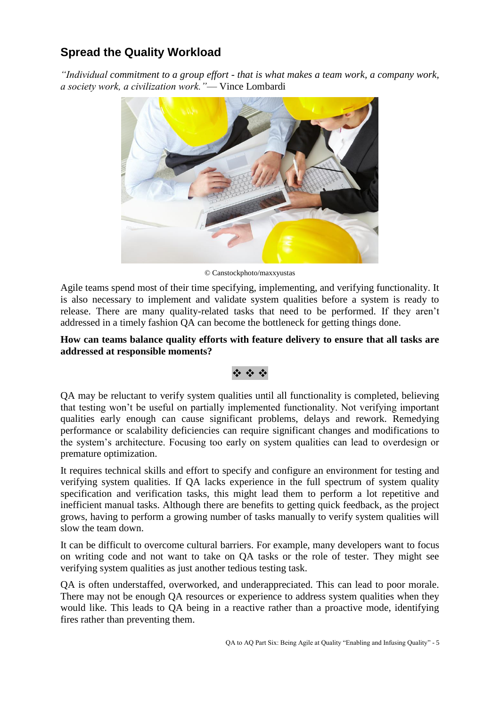# **Spread the Quality Workload**

*"Individual commitment to a group effort - that is what makes a team work, a company work, a society work, a civilization work."*— Vince Lombardi



© Canstockphoto/maxxyustas

Agile teams spend most of their time specifying, implementing, and verifying functionality. It is also necessary to implement and validate system qualities before a system is ready to release. There are many quality-related tasks that need to be performed. If they aren't addressed in a timely fashion QA can become the bottleneck for getting things done.

#### **How can teams balance quality efforts with feature delivery to ensure that all tasks are addressed at responsible moments?**

#### **医染液**

QA may be reluctant to verify system qualities until all functionality is completed, believing that testing won't be useful on partially implemented functionality. Not verifying important qualities early enough can cause significant problems, delays and rework. Remedying performance or scalability deficiencies can require significant changes and modifications to the system's architecture. Focusing too early on system qualities can lead to overdesign or premature optimization.

It requires technical skills and effort to specify and configure an environment for testing and verifying system qualities. If QA lacks experience in the full spectrum of system quality specification and verification tasks, this might lead them to perform a lot repetitive and inefficient manual tasks. Although there are benefits to getting quick feedback, as the project grows, having to perform a growing number of tasks manually to verify system qualities will slow the team down.

It can be difficult to overcome cultural barriers. For example, many developers want to focus on writing code and not want to take on QA tasks or the role of tester. They might see verifying system qualities as just another tedious testing task.

QA is often understaffed, overworked, and underappreciated. This can lead to poor morale. There may not be enough QA resources or experience to address system qualities when they would like. This leads to QA being in a reactive rather than a proactive mode, identifying fires rather than preventing them.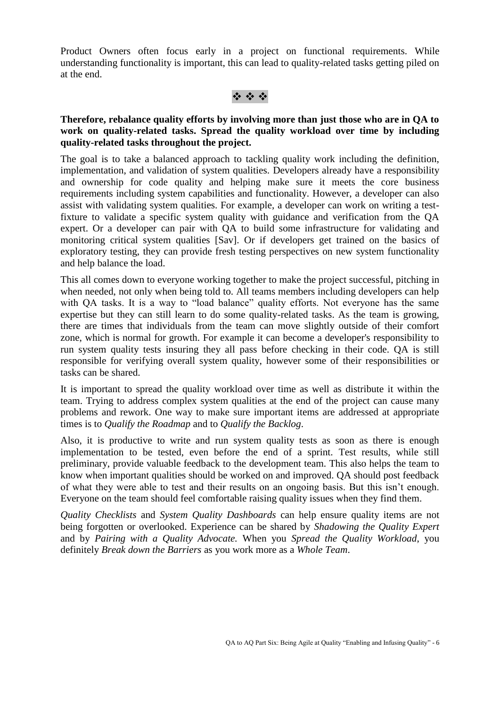Product Owners often focus early in a project on functional requirements. While understanding functionality is important, this can lead to quality-related tasks getting piled on at the end.

### ※※※

#### **Therefore, rebalance quality efforts by involving more than just those who are in QA to work on quality-related tasks. Spread the quality workload over time by including quality-related tasks throughout the project.**

The goal is to take a balanced approach to tackling quality work including the definition, implementation, and validation of system qualities. Developers already have a responsibility and ownership for code quality and helping make sure it meets the core business requirements including system capabilities and functionality. However, a developer can also assist with validating system qualities. For example, a developer can work on writing a testfixture to validate a specific system quality with guidance and verification from the QA expert. Or a developer can pair with QA to build some infrastructure for validating and monitoring critical system qualities [Sav]. Or if developers get trained on the basics of exploratory testing, they can provide fresh testing perspectives on new system functionality and help balance the load.

This all comes down to everyone working together to make the project successful, pitching in when needed, not only when being told to. All teams members including developers can help with QA tasks. It is a way to "load balance" quality efforts. Not everyone has the same expertise but they can still learn to do some quality-related tasks. As the team is growing, there are times that individuals from the team can move slightly outside of their comfort zone, which is normal for growth. For example it can become a developer's responsibility to run system quality tests insuring they all pass before checking in their code. QA is still responsible for verifying overall system quality, however some of their responsibilities or tasks can be shared.

It is important to spread the quality workload over time as well as distribute it within the team. Trying to address complex system qualities at the end of the project can cause many problems and rework. One way to make sure important items are addressed at appropriate times is to *Qualify the Roadmap* and to *Qualify the Backlog*.

Also, it is productive to write and run system quality tests as soon as there is enough implementation to be tested, even before the end of a sprint. Test results, while still preliminary, provide valuable feedback to the development team. This also helps the team to know when important qualities should be worked on and improved. QA should post feedback of what they were able to test and their results on an ongoing basis. But this isn't enough. Everyone on the team should feel comfortable raising quality issues when they find them.

*Quality Checklists* and *System Quality Dashboards* can help ensure quality items are not being forgotten or overlooked. Experience can be shared by *Shadowing the Quality Expert*  and by *Pairing with a Quality Advocate.* When you *Spread the Quality Workload*, you definitely *Break down the Barriers* as you work more as a *Whole Team*.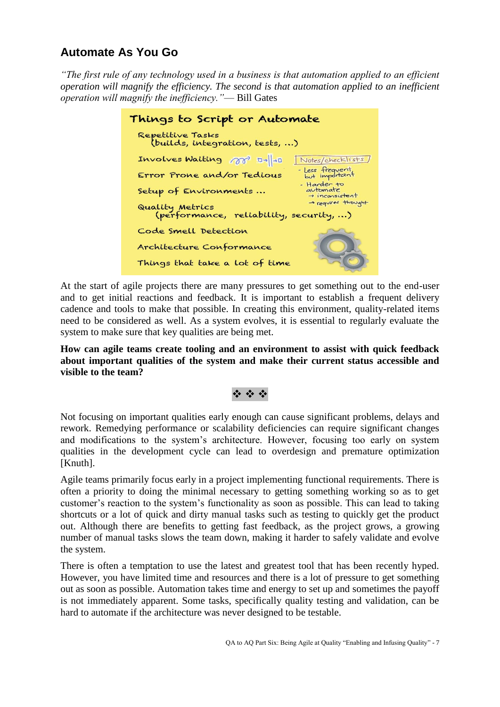# **Automate As You Go**

*"The first rule of any technology used in a business is that automation applied to an efficient operation will magnify the efficiency. The second is that automation applied to an inefficient operation will magnify the inefficiency."*— Bill Gates

| Things to Script or Automate                              |                                                       |  |
|-----------------------------------------------------------|-------------------------------------------------------|--|
| Repetitive Tasks<br>(builds, integration, tests, )        |                                                       |  |
| Involves Waiting $\pi$ D- $\parallel$ -D                  | Notes/checklists                                      |  |
| Error Prone and/or Tedious                                | - Less frequent,<br>but important                     |  |
| Setup of Environments                                     | - Harder to<br>automate<br>$\rightarrow$ inconsistent |  |
| Quality Metrics<br>(performance, reliability, security, ) | - requires thought                                    |  |
| Code Smell Detection                                      |                                                       |  |
| Architecture Conformance                                  | OJ                                                    |  |
| Things that take a lot of time                            |                                                       |  |

At the start of agile projects there are many pressures to get something out to the end-user and to get initial reactions and feedback. It is important to establish a frequent delivery cadence and tools to make that possible. In creating this environment, quality-related items need to be considered as well. As a system evolves, it is essential to regularly evaluate the system to make sure that key qualities are being met.

**How can agile teams create tooling and an environment to assist with quick feedback about important qualities of the system and make their current status accessible and visible to the team?**

### 经合金

Not focusing on important qualities early enough can cause significant problems, delays and rework. Remedying performance or scalability deficiencies can require significant changes and modifications to the system's architecture. However, focusing too early on system qualities in the development cycle can lead to overdesign and premature optimization [Knuth].

Agile teams primarily focus early in a project implementing functional requirements. There is often a priority to doing the minimal necessary to getting something working so as to get customer's reaction to the system's functionality as soon as possible. This can lead to taking shortcuts or a lot of quick and dirty manual tasks such as testing to quickly get the product out. Although there are benefits to getting fast feedback, as the project grows, a growing number of manual tasks slows the team down, making it harder to safely validate and evolve the system.

There is often a temptation to use the latest and greatest tool that has been recently hyped. However, you have limited time and resources and there is a lot of pressure to get something out as soon as possible. Automation takes time and energy to set up and sometimes the payoff is not immediately apparent. Some tasks, specifically quality testing and validation, can be hard to automate if the architecture was never designed to be testable.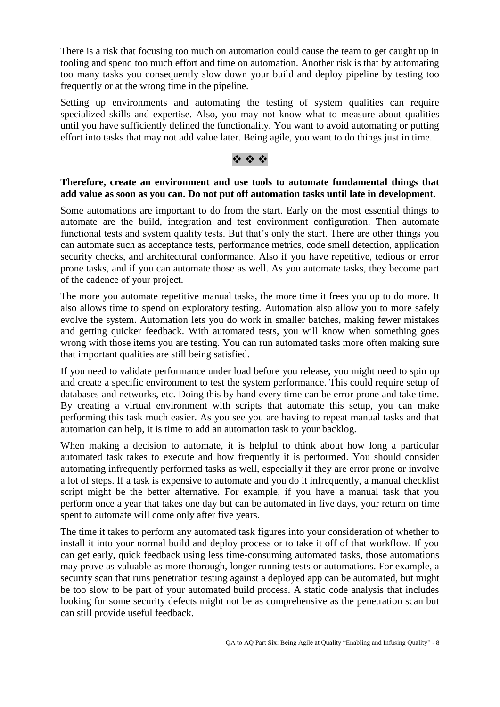There is a risk that focusing too much on automation could cause the team to get caught up in tooling and spend too much effort and time on automation. Another risk is that by automating too many tasks you consequently slow down your build and deploy pipeline by testing too frequently or at the wrong time in the pipeline.

Setting up environments and automating the testing of system qualities can require specialized skills and expertise. Also, you may not know what to measure about qualities until you have sufficiently defined the functionality. You want to avoid automating or putting effort into tasks that may not add value later. Being agile, you want to do things just in time.

### \* \* \*

#### **Therefore, create an environment and use tools to automate fundamental things that add value as soon as you can. Do not put off automation tasks until late in development.**

Some automations are important to do from the start. Early on the most essential things to automate are the build, integration and test environment configuration. Then automate functional tests and system quality tests. But that's only the start. There are other things you can automate such as acceptance tests, performance metrics, code smell detection, application security checks, and architectural conformance. Also if you have repetitive, tedious or error prone tasks, and if you can automate those as well. As you automate tasks, they become part of the cadence of your project.

The more you automate repetitive manual tasks, the more time it frees you up to do more. It also allows time to spend on exploratory testing. Automation also allow you to more safely evolve the system. Automation lets you do work in smaller batches, making fewer mistakes and getting quicker feedback. With automated tests, you will know when something goes wrong with those items you are testing. You can run automated tasks more often making sure that important qualities are still being satisfied.

If you need to validate performance under load before you release, you might need to spin up and create a specific environment to test the system performance. This could require setup of databases and networks, etc. Doing this by hand every time can be error prone and take time. By creating a virtual environment with scripts that automate this setup, you can make performing this task much easier. As you see you are having to repeat manual tasks and that automation can help, it is time to add an automation task to your backlog.

When making a decision to automate, it is helpful to think about how long a particular automated task takes to execute and how frequently it is performed. You should consider automating infrequently performed tasks as well, especially if they are error prone or involve a lot of steps. If a task is expensive to automate and you do it infrequently, a manual checklist script might be the better alternative. For example, if you have a manual task that you perform once a year that takes one day but can be automated in five days, your return on time spent to automate will come only after five years.

The time it takes to perform any automated task figures into your consideration of whether to install it into your normal build and deploy process or to take it off of that workflow. If you can get early, quick feedback using less time-consuming automated tasks, those automations may prove as valuable as more thorough, longer running tests or automations. For example, a security scan that runs penetration testing against a deployed app can be automated, but might be too slow to be part of your automated build process. A static code analysis that includes looking for some security defects might not be as comprehensive as the penetration scan but can still provide useful feedback.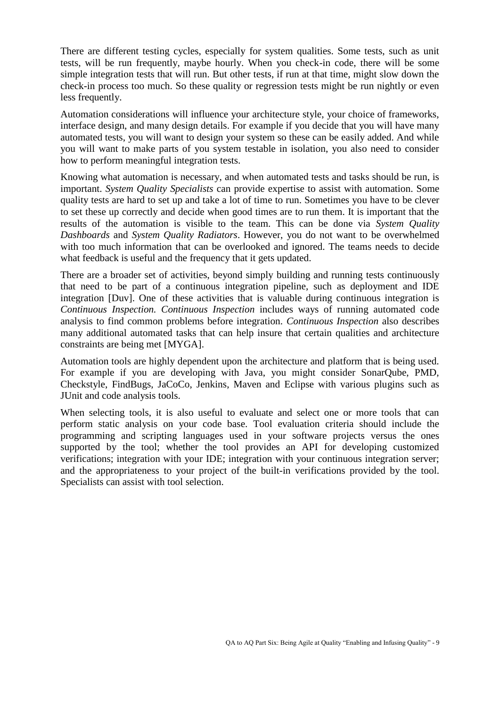There are different testing cycles, especially for system qualities. Some tests, such as unit tests, will be run frequently, maybe hourly. When you check-in code, there will be some simple integration tests that will run. But other tests, if run at that time, might slow down the check-in process too much. So these quality or regression tests might be run nightly or even less frequently.

Automation considerations will influence your architecture style, your choice of frameworks, interface design, and many design details. For example if you decide that you will have many automated tests, you will want to design your system so these can be easily added. And while you will want to make parts of you system testable in isolation, you also need to consider how to perform meaningful integration tests.

Knowing what automation is necessary, and when automated tests and tasks should be run, is important. *System Quality Specialists* can provide expertise to assist with automation. Some quality tests are hard to set up and take a lot of time to run. Sometimes you have to be clever to set these up correctly and decide when good times are to run them. It is important that the results of the automation is visible to the team. This can be done via *System Quality Dashboards* and *System Quality Radiators*. However, you do not want to be overwhelmed with too much information that can be overlooked and ignored. The teams needs to decide what feedback is useful and the frequency that it gets updated.

There are a broader set of activities, beyond simply building and running tests continuously that need to be part of a continuous integration pipeline, such as deployment and IDE integration [Duv]. One of these activities that is valuable during continuous integration is *Continuous Inspection. Continuous Inspection* includes ways of running automated code analysis to find common problems before integration. *Continuous Inspection* also describes many additional automated tasks that can help insure that certain qualities and architecture constraints are being met [MYGA].

Automation tools are highly dependent upon the architecture and platform that is being used. For example if you are developing with Java, you might consider SonarQube, PMD, Checkstyle, FindBugs, JaCoCo, Jenkins, Maven and Eclipse with various plugins such as JUnit and code analysis tools.

When selecting tools, it is also useful to evaluate and select one or more tools that can perform static analysis on your code base. Tool evaluation criteria should include the programming and scripting languages used in your software projects versus the ones supported by the tool; whether the tool provides an API for developing customized verifications; integration with your IDE; integration with your continuous integration server; and the appropriateness to your project of the built-in verifications provided by the tool. Specialists can assist with tool selection.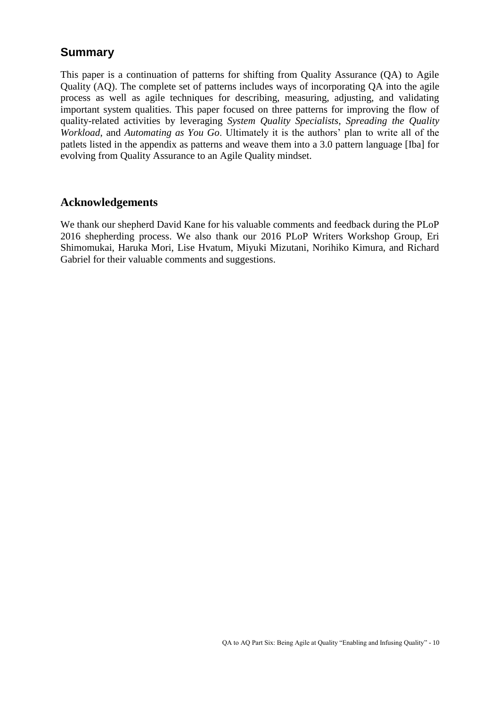# **Summary**

This paper is a continuation of patterns for shifting from Quality Assurance (QA) to Agile Quality (AQ). The complete set of patterns includes ways of incorporating QA into the agile process as well as agile techniques for describing, measuring, adjusting, and validating important system qualities. This paper focused on three patterns for improving the flow of quality-related activities by leveraging *System Quality Specialists*, *Spreading the Quality Workload*, and *Automating as You Go*. Ultimately it is the authors' plan to write all of the patlets listed in the appendix as patterns and weave them into a 3.0 pattern language [Iba] for evolving from Quality Assurance to an Agile Quality mindset.

## **Acknowledgements**

We thank our shepherd David Kane for his valuable comments and feedback during the PLoP 2016 shepherding process. We also thank our 2016 PLoP Writers Workshop Group, Eri Shimomukai, Haruka Mori, Lise Hvatum, Miyuki Mizutani, Norihiko Kimura, and Richard Gabriel for their valuable comments and suggestions.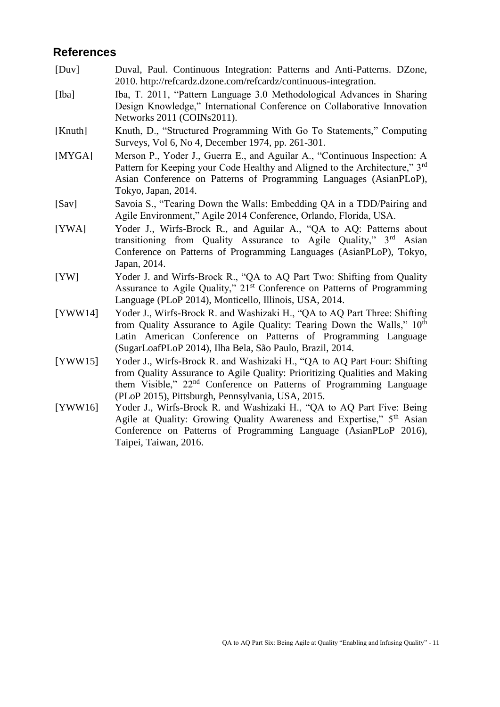## **References**

- [Duv] Duval, Paul. Continuous Integration: Patterns and Anti-Patterns. DZone, 2010. http://refcardz.dzone.com/refcardz/continuous-integration.
- [Iba] Iba, T. 2011, "Pattern Language 3.0 Methodological Advances in Sharing Design Knowledge," International Conference on Collaborative Innovation Networks 2011 (COINs2011).
- [Knuth] Knuth, D., "Structured Programming With Go To Statements," Computing Surveys, Vol 6, No 4, December 1974, pp. 261-301.
- [MYGA] Merson P., Yoder J., Guerra E., and Aguilar A., "Continuous Inspection: A Pattern for Keeping your Code Healthy and Aligned to the Architecture," 3<sup>rd</sup> Asian Conference on Patterns of Programming Languages (AsianPLoP), Tokyo, Japan, 2014.
- [Sav] Savoia S., "Tearing Down the Walls: Embedding QA in a TDD/Pairing and Agile Environment," Agile 2014 Conference, Orlando, Florida, USA.
- [YWA] Yoder J., Wirfs-Brock R., and Aguilar A., "QA to AQ: Patterns about transitioning from Quality Assurance to Agile Quality," 3rd Asian Conference on Patterns of Programming Languages (AsianPLoP), Tokyo, Japan, 2014.
- [YW] Yoder J. and Wirfs-Brock R., "QA to AQ Part Two: Shifting from Quality Assurance to Agile Quality," 21<sup>st</sup> Conference on Patterns of Programming Language (PLoP 2014), Monticello, Illinois, USA, 2014.
- [YWW14] Yoder J., Wirfs-Brock R. and Washizaki H., "QA to AQ Part Three: Shifting from Quality Assurance to Agile Quality: Tearing Down the Walls,"  $10^{th}$ Latin American Conference on Patterns of Programming Language (SugarLoafPLoP 2014), Ilha Bela, São Paulo, Brazil, 2014.
- [YWW15] Yoder J., Wirfs-Brock R. and Washizaki H., "QA to AQ Part Four: Shifting from Quality Assurance to Agile Quality: Prioritizing Qualities and Making them Visible," 22nd Conference on Patterns of Programming Language (PLoP 2015), Pittsburgh, Pennsylvania, USA, 2015.
- [YWW16] Yoder J., Wirfs-Brock R. and Washizaki H., "QA to AQ Part Five: Being Agile at Quality: Growing Quality Awareness and Expertise," 5<sup>th</sup> Asian Conference on Patterns of Programming Language (AsianPLoP 2016), Taipei, Taiwan, 2016.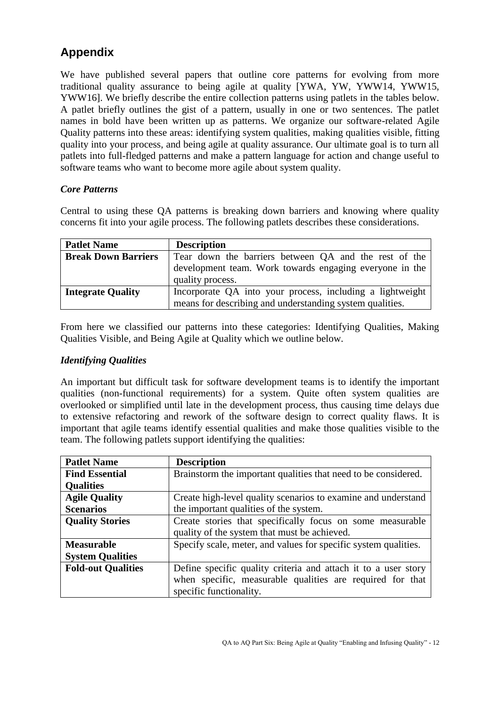# **Appendix**

We have published several papers that outline core patterns for evolving from more traditional quality assurance to being agile at quality [YWA, YW, YWW14, YWW15, YWW16]. We briefly describe the entire collection patterns using patlets in the tables below. A patlet briefly outlines the gist of a pattern, usually in one or two sentences. The patlet names in bold have been written up as patterns. We organize our software-related Agile Quality patterns into these areas: identifying system qualities, making qualities visible, fitting quality into your process, and being agile at quality assurance. Our ultimate goal is to turn all patlets into full-fledged patterns and make a pattern language for action and change useful to software teams who want to become more agile about system quality.

#### *Core Patterns*

Central to using these QA patterns is breaking down barriers and knowing where quality concerns fit into your agile process. The following patlets describes these considerations.

| <b>Patlet Name</b>         | <b>Description</b>                                                          |  |
|----------------------------|-----------------------------------------------------------------------------|--|
| <b>Break Down Barriers</b> | Tear down the barriers between QA and the rest of the                       |  |
|                            | development team. Work towards engaging everyone in the<br>quality process. |  |
| <b>Integrate Quality</b>   | Incorporate QA into your process, including a lightweight                   |  |
|                            | means for describing and understanding system qualities.                    |  |

From here we classified our patterns into these categories: Identifying Qualities, Making Qualities Visible, and Being Agile at Quality which we outline below.

#### *Identifying Qualities*

An important but difficult task for software development teams is to identify the important qualities (non-functional requirements) for a system. Quite often system qualities are overlooked or simplified until late in the development process, thus causing time delays due to extensive refactoring and rework of the software design to correct quality flaws. It is important that agile teams identify essential qualities and make those qualities visible to the team. The following patlets support identifying the qualities:

| <b>Patlet Name</b>        | <b>Description</b>                                              |
|---------------------------|-----------------------------------------------------------------|
| <b>Find Essential</b>     | Brainstorm the important qualities that need to be considered.  |
| <b>Qualities</b>          |                                                                 |
| <b>Agile Quality</b>      | Create high-level quality scenarios to examine and understand   |
| <b>Scenarios</b>          | the important qualities of the system.                          |
| <b>Quality Stories</b>    | Create stories that specifically focus on some measurable       |
|                           | quality of the system that must be achieved.                    |
| <b>Measurable</b>         | Specify scale, meter, and values for specific system qualities. |
| <b>System Qualities</b>   |                                                                 |
| <b>Fold-out Qualities</b> | Define specific quality criteria and attach it to a user story  |
|                           | when specific, measurable qualities are required for that       |
|                           | specific functionality.                                         |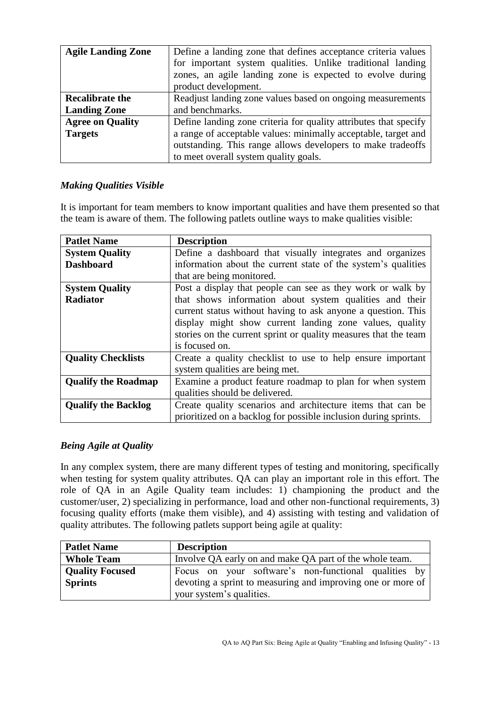| <b>Agile Landing Zone</b> | Define a landing zone that defines acceptance criteria values<br>for important system qualities. Unlike traditional landing<br>zones, an agile landing zone is expected to evolve during<br>product development. |
|---------------------------|------------------------------------------------------------------------------------------------------------------------------------------------------------------------------------------------------------------|
| <b>Recalibrate the</b>    | Readjust landing zone values based on ongoing measurements                                                                                                                                                       |
| <b>Landing Zone</b>       | and benchmarks.                                                                                                                                                                                                  |
| <b>Agree on Quality</b>   | Define landing zone criteria for quality attributes that specify                                                                                                                                                 |
| <b>Targets</b>            | a range of acceptable values: minimally acceptable, target and                                                                                                                                                   |
|                           | outstanding. This range allows developers to make tradeoffs                                                                                                                                                      |
|                           | to meet overall system quality goals.                                                                                                                                                                            |

### *Making Qualities Visible*

It is important for team members to know important qualities and have them presented so that the team is aware of them. The following patlets outline ways to make qualities visible:

| <b>Patlet Name</b>         | <b>Description</b>                                              |
|----------------------------|-----------------------------------------------------------------|
| <b>System Quality</b>      | Define a dashboard that visually integrates and organizes       |
| <b>Dashboard</b>           | information about the current state of the system's qualities   |
|                            | that are being monitored.                                       |
| <b>System Quality</b>      | Post a display that people can see as they work or walk by      |
| Radiator                   | that shows information about system qualities and their         |
|                            | current status without having to ask anyone a question. This    |
|                            | display might show current landing zone values, quality         |
|                            | stories on the current sprint or quality measures that the team |
|                            | is focused on.                                                  |
| <b>Quality Checklists</b>  | Create a quality checklist to use to help ensure important      |
|                            | system qualities are being met.                                 |
| <b>Qualify the Roadmap</b> | Examine a product feature roadmap to plan for when system       |
|                            | qualities should be delivered.                                  |
| <b>Qualify the Backlog</b> | Create quality scenarios and architecture items that can be     |
|                            | prioritized on a backlog for possible inclusion during sprints. |

## *Being Agile at Quality*

In any complex system, there are many different types of testing and monitoring, specifically when testing for system quality attributes. QA can play an important role in this effort. The role of QA in an Agile Quality team includes: 1) championing the product and the customer/user, 2) specializing in performance, load and other non-functional requirements, 3) focusing quality efforts (make them visible), and 4) assisting with testing and validation of quality attributes. The following patlets support being agile at quality:

| <b>Patlet Name</b>                       | <b>Description</b>                                                                                                  |
|------------------------------------------|---------------------------------------------------------------------------------------------------------------------|
| <b>Whole Team</b>                        | Involve QA early on and make QA part of the whole team.                                                             |
| <b>Quality Focused</b><br><b>Sprints</b> | Focus on your software's non-functional qualities by<br>devoting a sprint to measuring and improving one or more of |
|                                          | your system's qualities.                                                                                            |